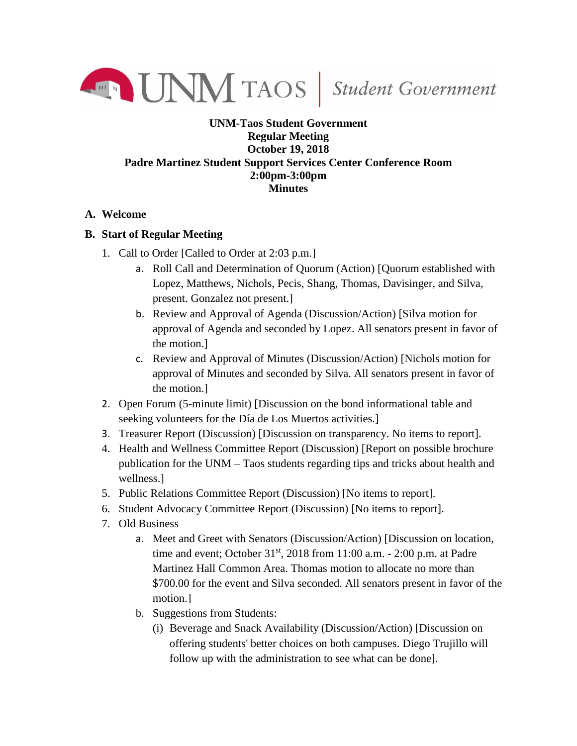

## **UNM-Taos Student Government Regular Meeting October 19, 2018 Padre Martinez Student Support Services Center Conference Room 2:00pm-3:00pm Minutes**

## **A. Welcome**

## **B. Start of Regular Meeting**

- 1. Call to Order [Called to Order at 2:03 p.m.]
	- a. Roll Call and Determination of Quorum (Action) [Quorum established with Lopez, Matthews, Nichols, Pecis, Shang, Thomas, Davisinger, and Silva, present. Gonzalez not present.]
	- b. Review and Approval of Agenda (Discussion/Action) [Silva motion for approval of Agenda and seconded by Lopez. All senators present in favor of the motion.]
	- c. Review and Approval of Minutes (Discussion/Action) [Nichols motion for approval of Minutes and seconded by Silva. All senators present in favor of the motion.]
- 2. Open Forum (5-minute limit) [Discussion on the bond informational table and seeking volunteers for the Día de Los Muertos activities.]
- 3. Treasurer Report (Discussion) [Discussion on transparency. No items to report].
- 4. Health and Wellness Committee Report (Discussion) [Report on possible brochure publication for the UNM – Taos students regarding tips and tricks about health and wellness.]
- 5. Public Relations Committee Report (Discussion) [No items to report].
- 6. Student Advocacy Committee Report (Discussion) [No items to report].
- 7. Old Business
	- a. Meet and Greet with Senators (Discussion/Action) [Discussion on location, time and event; October 31<sup>st</sup>, 2018 from 11:00 a.m. - 2:00 p.m. at Padre Martinez Hall Common Area. Thomas motion to allocate no more than \$700.00 for the event and Silva seconded. All senators present in favor of the motion.]
	- b. Suggestions from Students:
		- (i) Beverage and Snack Availability (Discussion/Action) [Discussion on offering students' better choices on both campuses. Diego Trujillo will follow up with the administration to see what can be done].